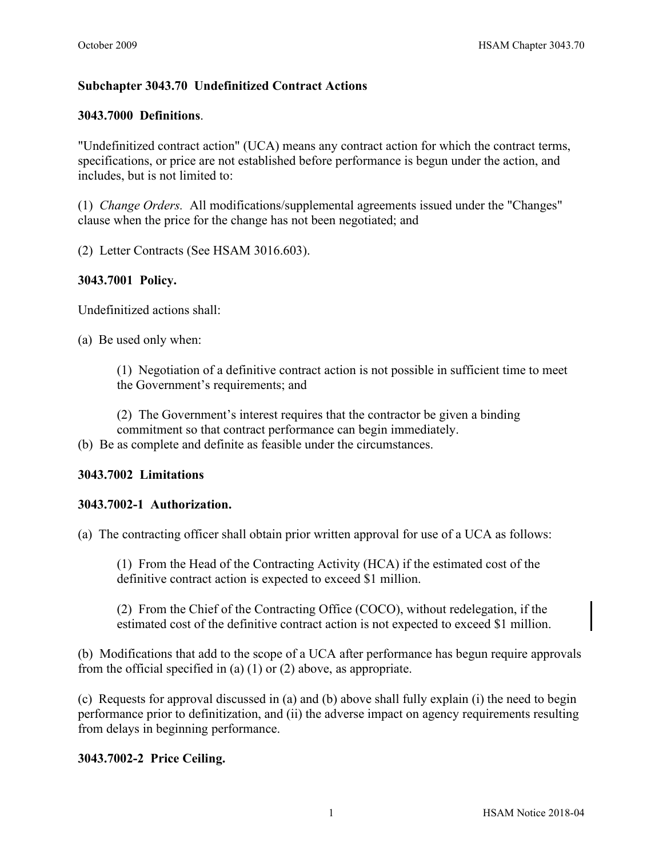# **Subchapter 3043.70 Undefinitized Contract Actions**

### **3043.7000 Definitions**.

"Undefinitized contract action" (UCA) means any contract action for which the contract terms, specifications, or price are not established before performance is begun under the action, and includes, but is not limited to:

(1) *Change Orders.* All modifications/supplemental agreements issued under the "Changes" clause when the price for the change has not been negotiated; and

(2) Letter Contracts (See HSAM 3016.603).

## **3043.7001 Policy.**

Undefinitized actions shall:

(a) Be used only when:

(1) Negotiation of a definitive contract action is not possible in sufficient time to meet the Government's requirements; and

(2) The Government's interest requires that the contractor be given a binding commitment so that contract performance can begin immediately.

(b) Be as complete and definite as feasible under the circumstances.

#### **3043.7002 Limitations**

#### **3043.7002-1 Authorization.**

(a) The contracting officer shall obtain prior written approval for use of a UCA as follows:

(1) From the Head of the Contracting Activity (HCA) if the estimated cost of the definitive contract action is expected to exceed \$1 million.

(2) From the Chief of the Contracting Office (COCO), without redelegation, if the estimated cost of the definitive contract action is not expected to exceed \$1 million.

(b) Modifications that add to the scope of a UCA after performance has begun require approvals from the official specified in (a) (1) or (2) above, as appropriate.

(c) Requests for approval discussed in (a) and (b) above shall fully explain (i) the need to begin performance prior to definitization, and (ii) the adverse impact on agency requirements resulting from delays in beginning performance.

## **3043.7002-2 Price Ceiling.**